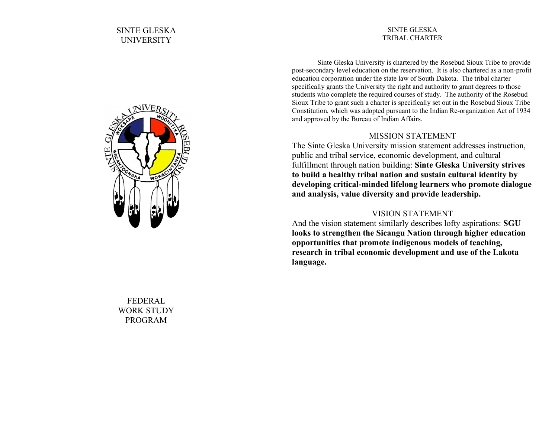#### SINTE GLESKA TRIBAL CHARTER

Sinte Gleska University is chartered by the Rosebud Sioux Tribe to provide post-secondary level education on the reservation. It is also chartered as a non-profit education corporation under the state law of South Dakota. The tribal charter specifically grants the University the right and authority to grant degrees to those students who complete the required courses of study. The authority of the Rosebud Sioux Tribe to grant such a charter is specifically set out in the Rosebud Sioux Tribe Constitution, which was adopted pursuant to the Indian Re-organization Act of 1934 and approved by the Bureau of Indian Affairs.

# MISSION STATEMENT

The Sinte Gleska University mission statement addresses instruction, public and tribal service, economic development, and cultural fulfillment through nation building: **Sinte Gleska University strives to build a healthy tribal nation and sustain cultural identity by developing critical-minded lifelong learners who promote dialogue and analysis, value diversity and provide leadership.** 

# VISION STATEMENT

And the vision statement similarly describes lofty aspirations: **SGU looks to strengthen the Sicangu Nation through higher education opportunities that promote indigenous models of teaching, research in tribal economic development and use of the Lakota language.**



FEDERAL WORK STUDY PROGRAM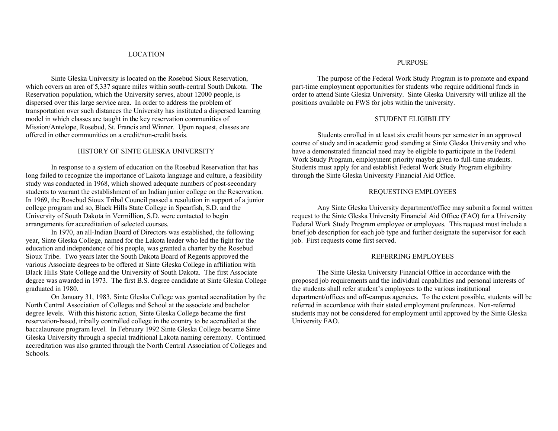#### LOCATION

Sinte Gleska University is located on the Rosebud Sioux Reservation, which covers an area of 5,337 square miles within south-central South Dakota. The Reservation population, which the University serves, about 12000 people, is dispersed over this large service area. In order to address the problem of transportation over such distances the University has instituted a dispersed learning model in which classes are taught in the key reservation communities of Mission/Antelope, Rosebud, St. Francis and Winner. Upon request, classes are offered in other communities on a credit/non-credit basis.

#### HISTORY OF SINTE GLESKA UNIVERSITY

In response to a system of education on the Rosebud Reservation that has long failed to recognize the importance of Lakota language and culture, a feasibility study was conducted in 1968, which showed adequate numbers of post-secondary students to warrant the establishment of an Indian junior college on the Reservation. In 1969, the Rosebud Sioux Tribal Council passed a resolution in support of a junior college program and so, Black Hills State College in Spearfish, S.D. and the University of South Dakota in Vermillion, S.D. were contacted to begin arrangements for accreditation of selected courses.

In 1970, an all-Indian Board of Directors was established, the following year, Sinte Gleska College, named for the Lakota leader who led the fight for the education and independence of his people, was granted a charter by the Rosebud Sioux Tribe. Two years later the South Dakota Board of Regents approved the various Associate degrees to be offered at Sinte Gleska College in affiliation with Black Hills State College and the University of South Dakota. The first Associate degree was awarded in 1973. The first B.S. degree candidate at Sinte Gleska College graduated in 1980.

On January 31, 1983, Sinte Gleska College was granted accreditation by the North Central Association of Colleges and School at the associate and bachelor degree levels. With this historic action, Sinte Gleska College became the first reservation-based, tribally controlled college in the country to be accredited at the baccalaureate program level. In February 1992 Sinte Gleska College became Sinte Gleska University through a special traditional Lakota naming ceremony. Continued accreditation was also granted through the North Central Association of Colleges and Schools.

### PURPOSE

The purpose of the Federal Work Study Program is to promote and expand part-time employment opportunities for students who require additional funds in order to attend Sinte Gleska University. Sinte Gleska University will utilize all the positions available on FWS for jobs within the university.

#### STUDENT ELIGIBILITY

Students enrolled in at least six credit hours per semester in an approved course of study and in academic good standing at Sinte Gleska University and who have a demonstrated financial need may be eligible to participate in the Federal Work Study Program, employment priority maybe given to full-time students. Students must apply for and establish Federal Work Study Program eligibility through the Sinte Gleska University Financial Aid Office.

## REQUESTING EMPLOYEES

Any Sinte Gleska University department/office may submit a formal written request to the Sinte Gleska University Financial Aid Office (FAO) for a University Federal Work Study Program employee or employees. This request must include a brief job description for each job type and further designate the supervisor for each job. First requests come first served.

#### REFERRING EMPLOYEES

The Sinte Gleska University Financial Office in accordance with the proposed job requirements and the individual capabilities and personal interests of the students shall refer student's employees to the various institutional department/offices and off-campus agencies. To the extent possible, students will be referred in accordance with their stated employment preferences. Non-referred students may not be considered for employment until approved by the Sinte Gleska University FAO.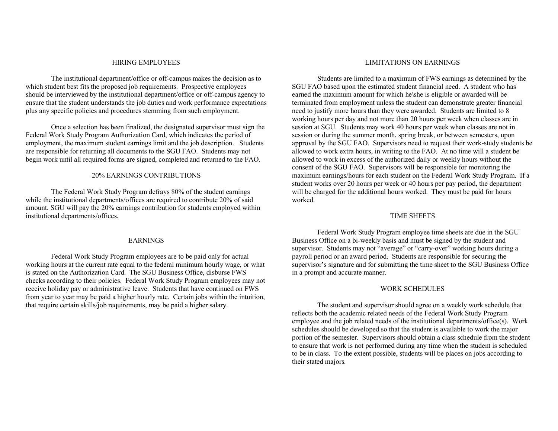#### HIRING EMPLOYEES

The institutional department/office or off-campus makes the decision as to which student best fits the proposed job requirements. Prospective employees should be interviewed by the institutional department/office or off-campus agency to ensure that the student understands the job duties and work performance expectations plus any specific policies and procedures stemming from such employment.

Once a selection has been finalized, the designated supervisor must sign the Federal Work Study Program Authorization Card, which indicates the period of employment, the maximum student earnings limit and the job description. Students are responsible for returning all documents to the SGU FAO. Students may not begin work until all required forms are signed, completed and returned to the FAO.

#### 20% EARNINGS CONTRIBUTIONS

The Federal Work Study Program defrays 80% of the student earnings while the institutional departments/offices are required to contribute 20% of said amount. SGU will pay the 20% earnings contribution for students employed within institutional departments/offices.

#### EARNINGS

Federal Work Study Program employees are to be paid only for actual working hours at the current rate equal to the federal minimum hourly wage, or what is stated on the Authorization Card. The SGU Business Office, disburse FWS checks according to their policies. Federal Work Study Program employees may not receive holiday pay or administrative leave. Students that have continued on FWS from year to year may be paid a higher hourly rate. Certain jobs within the intuition, that require certain skills/job requirements, may be paid a higher salary.

#### LIMITATIONS ON EARNINGS

Students are limited to a maximum of FWS earnings as determined by the SGU FAO based upon the estimated student financial need. A student who has earned the maximum amount for which he\she is eligible or awarded will be terminated from employment unless the student can demonstrate greater financial need to justify more hours than they were awarded. Students are limited to 8 working hours per day and not more than 20 hours per week when classes are in session at SGU. Students may work 40 hours per week when classes are not in session or during the summer month, spring break, or between semesters, upon approval by the SGU FAO. Supervisors need to request their work-study students be allowed to work extra hours, in writing to the FAO. At no time will a student be allowed to work in excess of the authorized daily or weekly hours without the consent of the SGU FAO. Supervisors will be responsible for monitoring the maximum earnings/hours for each student on the Federal Work Study Program. If a student works over 20 hours per week or 40 hours per pay period, the department will be charged for the additional hours worked. They must be paid for hours worked.

### TIME SHEETS

Federal Work Study Program employee time sheets are due in the SGU Business Office on a bi-weekly basis and must be signed by the student and supervisor. Students may not "average" or "carry-over" working hours during a payroll period or an award period. Students are responsible for securing the supervisor's signature and for submitting the time sheet to the SGU Business Office in a prompt and accurate manner.

#### WORK SCHEDULES

The student and supervisor should agree on a weekly work schedule that reflects both the academic related needs of the Federal Work Study Program employee and the job related needs of the institutional departments/office(s). Work schedules should be developed so that the student is available to work the major portion of the semester. Supervisors should obtain a class schedule from the student to ensure that work is not performed during any time when the student is scheduled to be in class. To the extent possible, students will be places on jobs according to their stated majors.